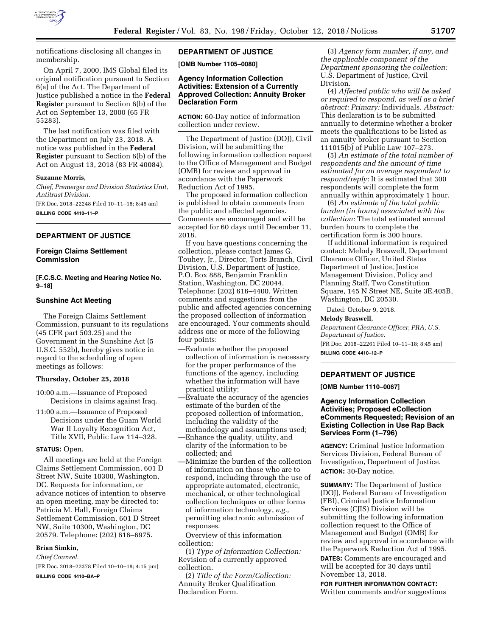

notifications disclosing all changes in membership.

On April 7, 2000, IMS Global filed its original notification pursuant to Section 6(a) of the Act. The Department of Justice published a notice in the **Federal Register** pursuant to Section 6(b) of the Act on September 13, 2000 (65 FR 55283).

The last notification was filed with the Department on July 23, 2018. A notice was published in the **Federal Register** pursuant to Section 6(b) of the Act on August 13, 2018 (83 FR 40084).

#### **Suzanne Morris,**

*Chief, Premerger and Division Statistics Unit, Antitrust Division.* 

[FR Doc. 2018–22248 Filed 10–11–18; 8:45 am] **BILLING CODE 4410–11–P** 

### **DEPARTMENT OF JUSTICE**

# **Foreign Claims Settlement Commission**

### **[F.C.S.C. Meeting and Hearing Notice No. 9–18]**

#### **Sunshine Act Meeting**

The Foreign Claims Settlement Commission, pursuant to its regulations (45 CFR part 503.25) and the Government in the Sunshine Act (5 U.S.C. 552b), hereby gives notice in regard to the scheduling of open meetings as follows:

#### **Thursday, October 25, 2018**

- 10:00 a.m.—Issuance of Proposed Decisions in claims against Iraq.
- 11:00 a.m.—Issuance of Proposed Decisions under the Guam World War II Loyalty Recognition Act, Title XVII, Public Law 114–328.

#### **STATUS:** Open.

All meetings are held at the Foreign Claims Settlement Commission, 601 D Street NW, Suite 10300, Washington, DC. Requests for information, or advance notices of intention to observe an open meeting, may be directed to: Patricia M. Hall, Foreign Claims Settlement Commission, 601 D Street NW, Suite 10300, Washington, DC 20579. Telephone: (202) 616–6975.

### **Brian Simkin,**

*Chief Counsel.* 

[FR Doc. 2018–22378 Filed 10–10–18; 4:15 pm] **BILLING CODE 4410–BA–P** 

# **DEPARTMENT OF JUSTICE**

**[OMB Number 1105–0080]** 

# **Agency Information Collection Activities: Extension of a Currently Approved Collection: Annuity Broker Declaration Form**

**ACTION:** 60-Day notice of information collection under review.

The Department of Justice (DOJ), Civil Division, will be submitting the following information collection request to the Office of Management and Budget (OMB) for review and approval in accordance with the Paperwork Reduction Act of 1995.

The proposed information collection is published to obtain comments from the public and affected agencies. Comments are encouraged and will be accepted for 60 days until December 11, 2018.

If you have questions concerning the collection, please contact James G. Touhey, Jr., Director, Torts Branch, Civil Division, U.S. Department of Justice, P.O. Box 888, Benjamin Franklin Station, Washington, DC 20044, Telephone: (202) 616–4400. Written comments and suggestions from the public and affected agencies concerning the proposed collection of information are encouraged. Your comments should address one or more of the following four points:

- —Evaluate whether the proposed collection of information is necessary for the proper performance of the functions of the agency, including whether the information will have practical utility;
- —Evaluate the accuracy of the agencies estimate of the burden of the proposed collection of information, including the validity of the methodology and assumptions used;
- —Enhance the quality, utility, and clarity of the information to be collected; and
- —Minimize the burden of the collection of information on those who are to respond, including through the use of appropriate automated, electronic, mechanical, or other technological collection techniques or other forms of information technology, *e.g.,*  permitting electronic submission of responses.

Overview of this information collection:

(1) *Type of Information Collection:*  Revision of a currently approved collection.

(2) *Title of the Form/Collection:*  Annuity Broker Qualification Declaration Form.

(3) *Agency form number, if any, and the applicable component of the Department sponsoring the collection:*  U.S. Department of Justice, Civil Division.

(4) *Affected public who will be asked or required to respond, as well as a brief abstract: Primary:* Individuals. *Abstract:*  This declaration is to be submitted annually to determine whether a broker meets the qualifications to be listed as an annuity broker pursuant to Section 111015(b) of Public Law 107–273.

(5) *An estimate of the total number of respondents and the amount of time estimated for an average respondent to respond/reply:* It is estimated that 300 respondents will complete the form annually within approximately 1 hour.

(6) *An estimate of the total public burden (in hours) associated with the collection:* The total estimated annual burden hours to complete the certification form is 300 hours.

If additional information is required contact: Melody Braswell, Department Clearance Officer, United States Department of Justice, Justice Management Division, Policy and Planning Staff, Two Constitution Square, 145 N Street NE, Suite 3E.405B, Washington, DC 20530.

Dated: October 9, 2018.

#### **Melody Braswell,**

*Department Clearance Officer, PRA, U.S. Department of Justice.*  [FR Doc. 2018–22261 Filed 10–11–18; 8:45 am] **BILLING CODE 4410–12–P** 

### **DEPARTMENT OF JUSTICE**

**[OMB Number 1110–0067]** 

### **Agency Information Collection Activities; Proposed eCollection eComments Requested; Revision of an Existing Collection in Use Rap Back Services Form (1–796)**

**AGENCY:** Criminal Justice Information Services Division, Federal Bureau of Investigation, Department of Justice. **ACTION:** 30-Day notice.

**SUMMARY:** The Department of Justice (DOJ), Federal Bureau of Investigation (FBI), Criminal Justice Information Services (CJIS) Division will be submitting the following information collection request to the Office of Management and Budget (OMB) for review and approval in accordance with the Paperwork Reduction Act of 1995.

**DATES:** Comments are encouraged and will be accepted for 30 days until November 13, 2018.

**FOR FURTHER INFORMATION CONTACT:**  Written comments and/or suggestions